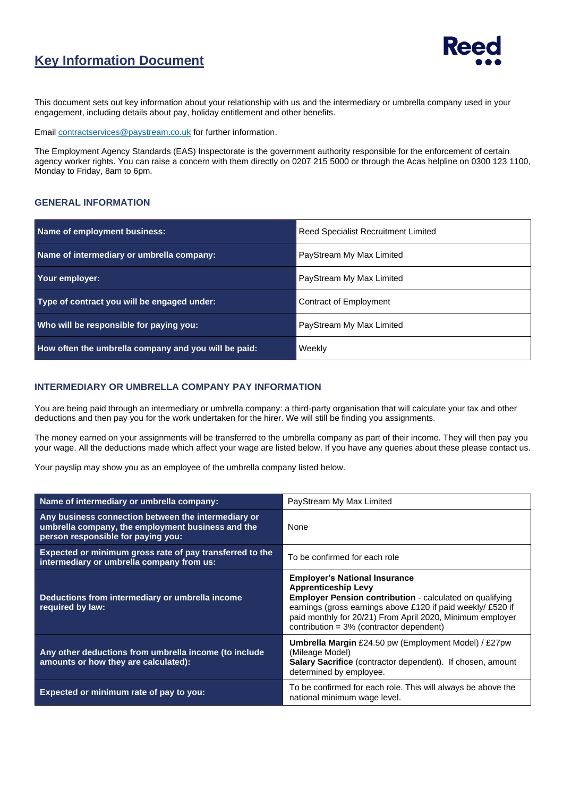

## **Key Information Document**

This document sets out key information about your relationship with us and the intermediary or umbrella company used in your engagement, including details about pay, holiday entitlement and other benefits.

Email [contractservices@paystream.co.uk](mailto:contractservices@paystream.co.uk) for further information.

The Employment Agency Standards (EAS) Inspectorate is the government authority responsible for the enforcement of certain agency worker rights. You can raise a concern with them directly on 0207 215 5000 or through the Acas helpline on 0300 123 1100, Monday to Friday, 8am to 6pm.

#### **GENERAL INFORMATION**

| Name of employment business:                         | <b>Reed Specialist Recruitment Limited</b> |  |
|------------------------------------------------------|--------------------------------------------|--|
| Name of intermediary or umbrella company:            | PayStream My Max Limited                   |  |
| Your employer:                                       | PayStream My Max Limited                   |  |
| Type of contract you will be engaged under:          | Contract of Employment                     |  |
| Who will be responsible for paying you:              | PayStream My Max Limited                   |  |
| How often the umbrella company and you will be paid: | Weekly                                     |  |

#### **INTERMEDIARY OR UMBRELLA COMPANY PAY INFORMATION**

You are being paid through an intermediary or umbrella company: a third-party organisation that will calculate your tax and other deductions and then pay you for the work undertaken for the hirer. We will still be finding you assignments.

The money earned on your assignments will be transferred to the umbrella company as part of their income. They will then pay you your wage. All the deductions made which affect your wage are listed below. If you have any queries about these please contact us.

Your payslip may show you as an employee of the umbrella company listed below.

| Name of intermediary or umbrella company:                                                                                                      | PayStream My Max Limited                                                                                                                                                                                                                                                                                      |  |
|------------------------------------------------------------------------------------------------------------------------------------------------|---------------------------------------------------------------------------------------------------------------------------------------------------------------------------------------------------------------------------------------------------------------------------------------------------------------|--|
| Any business connection between the intermediary or<br>umbrella company, the employment business and the<br>person responsible for paying you: | None                                                                                                                                                                                                                                                                                                          |  |
| Expected or minimum gross rate of pay transferred to the<br>intermediary or umbrella company from us:                                          | To be confirmed for each role                                                                                                                                                                                                                                                                                 |  |
| Deductions from intermediary or umbrella income<br>required by law:                                                                            | <b>Employer's National Insurance</b><br><b>Apprenticeship Levy</b><br><b>Employer Pension contribution - calculated on qualifying</b><br>earnings (gross earnings above £120 if paid weekly/ £520 if<br>paid monthly for 20/21) From April 2020, Minimum employer<br>contribution = 3% (contractor dependent) |  |
| Any other deductions from umbrella income (to include<br>amounts or how they are calculated):                                                  | <b>Umbrella Margin</b> £24.50 pw (Employment Model) / £27pw<br>(Mileage Model)<br>Salary Sacrifice (contractor dependent). If chosen, amount<br>determined by employee.                                                                                                                                       |  |
| Expected or minimum rate of pay to you:                                                                                                        | To be confirmed for each role. This will always be above the<br>national minimum wage level.                                                                                                                                                                                                                  |  |